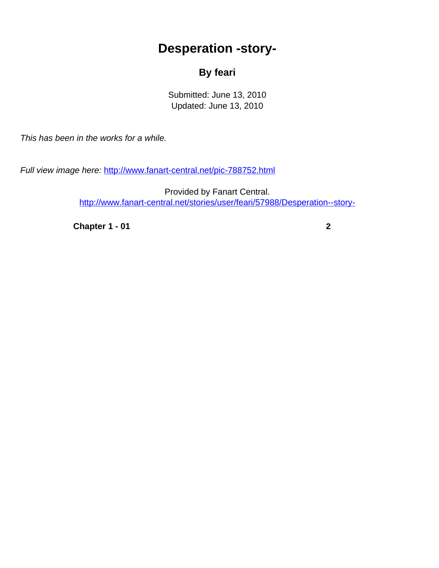## **Desperation -story-**

## **By feari**

Submitted: June 13, 2010 Updated: June 13, 2010

<span id="page-0-0"></span>This has been in the works for a while.

Full view image here: <http://www.fanart-central.net/pic-788752.html>

Provided by Fanart Central. [http://www.fanart-central.net/stories/user/feari/57988/Desperation--story-](#page-0-0)

**[Chapter 1 - 01](#page-1-0)** [2](#page-1-0)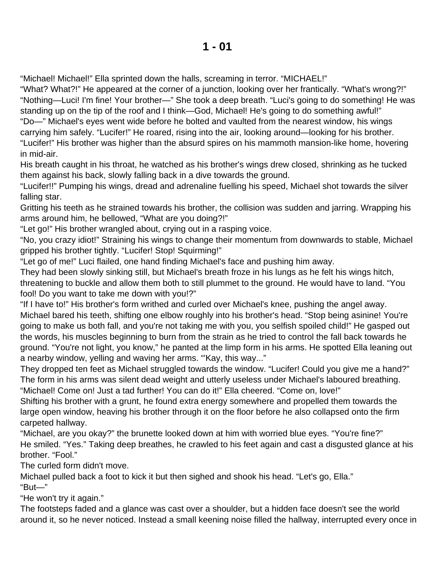<span id="page-1-0"></span>"Michael! Michael!" Ella sprinted down the halls, screaming in terror. "MICHAEL!"

"What? What?!" He appeared at the corner of a junction, looking over her frantically. "What's wrong?!" "Nothing—Luci! I'm fine! Your brother—" She took a deep breath. "Luci's going to do something! He was standing up on the tip of the roof and I think—God, Michael! He's going to do something awful!" "Do—" Michael's eyes went wide before he bolted and vaulted from the nearest window, his wings carrying him safely. "Lucifer!" He roared, rising into the air, looking around—looking for his brother. "Lucifer!" His brother was higher than the absurd spires on his mammoth mansion-like home, hovering

in mid-air.

His breath caught in his throat, he watched as his brother's wings drew closed, shrinking as he tucked them against his back, slowly falling back in a dive towards the ground.

"Lucifer!!" Pumping his wings, dread and adrenaline fuelling his speed, Michael shot towards the silver falling star.

Gritting his teeth as he strained towards his brother, the collision was sudden and jarring. Wrapping his arms around him, he bellowed, "What are you doing?!"

"Let go!" His brother wrangled about, crying out in a rasping voice.

"No, you crazy idiot!" Straining his wings to change their momentum from downwards to stable, Michael gripped his brother tightly. "Lucifer! Stop! Squirming!"

"Let go of me!" Luci flailed, one hand finding Michael's face and pushing him away.

They had been slowly sinking still, but Michael's breath froze in his lungs as he felt his wings hitch, threatening to buckle and allow them both to still plummet to the ground. He would have to land. "You fool! Do you want to take me down with you!?"

"If I have to!" His brother's form writhed and curled over Michael's knee, pushing the angel away. Michael bared his teeth, shifting one elbow roughly into his brother's head. "Stop being asinine! You're going to make us both fall, and you're not taking me with you, you selfish spoiled child!" He gasped out the words, his muscles beginning to burn from the strain as he tried to control the fall back towards he ground. "You're not light, you know," he panted at the limp form in his arms. He spotted Ella leaning out a nearby window, yelling and waving her arms. "'Kay, this way..."

They dropped ten feet as Michael struggled towards the window. "Lucifer! Could you give me a hand?" The form in his arms was silent dead weight and utterly useless under Michael's laboured breathing. "Michael! Come on! Just a tad further! You can do it!" Ella cheered. "Come on, love!"

Shifting his brother with a grunt, he found extra energy somewhere and propelled them towards the large open window, heaving his brother through it on the floor before he also collapsed onto the firm carpeted hallway.

"Michael, are you okay?" the brunette looked down at him with worried blue eyes. "You're fine?" He smiled. "Yes." Taking deep breathes, he crawled to his feet again and cast a disgusted glance at his brother. "Fool."

The curled form didn't move.

Michael pulled back a foot to kick it but then sighed and shook his head. "Let's go, Ella." "But—"

"He won't try it again."

The footsteps faded and a glance was cast over a shoulder, but a hidden face doesn't see the world around it, so he never noticed. Instead a small keening noise filled the hallway, interrupted every once in